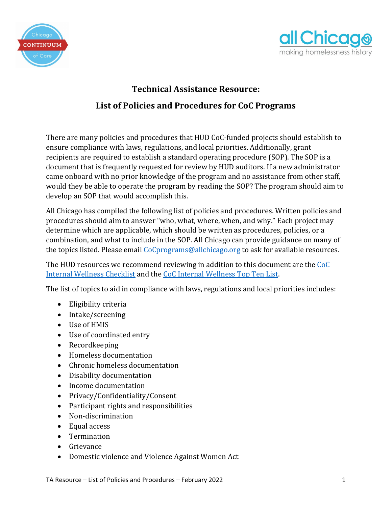



## **Technical Assistance Resource: List of Policies and Procedures for CoC Programs**

There are many policies and procedures that HUD CoC-funded projects should establish to ensure compliance with laws, regulations, and local priorities. Additionally, grant recipients are required to establish a standard operating procedure (SOP). The SOP is a document that is frequently requested for review by HUD auditors. If a new administrator came onboard with no prior knowledge of the program and no assistance from other staff, would they be able to operate the program by reading the SOP? The program should aim to develop an SOP that would accomplish this.

All Chicago has compiled the following list of policies and procedures. Written policies and procedures should aim to answer "who, what, where, when, and why." Each project may determine which are applicable, which should be written as procedures, policies, or a combination, and what to include in the SOP. All Chicago can provide guidance on many of the topics listed. Please email [CoCprograms@allchicago.org](mailto:CoCprograms@allchicago.org) to ask for available resources.

The HUD resources we recommend reviewing in addition to this document are the [CoC](http://helpingtohousevt.org/wp-content/uploads/2012/11/HUD-Wellness-Checklist-for-CoC-Programs.pdf)  [Internal Wellness Checklist](http://helpingtohousevt.org/wp-content/uploads/2012/11/HUD-Wellness-Checklist-for-CoC-Programs.pdf) and the [CoC Internal Wellness Top Ten List.](https://www.thn.org/wp-content/uploads/2018/09/Final-Internal-Wellness-Top-Ten-List-506.16.pdf)

The list of topics to aid in compliance with laws, regulations and local priorities includes:

- Eligibility criteria
- Intake/screening
- Use of HMIS
- Use of coordinated entry
- Recordkeeping
- Homeless documentation
- Chronic homeless documentation
- Disability documentation
- Income documentation
- Privacy/Confidentiality/Consent
- Participant rights and responsibilities
- Non-discrimination
- Equal access
- Termination
- Grievance
- Domestic violence and Violence Against Women Act